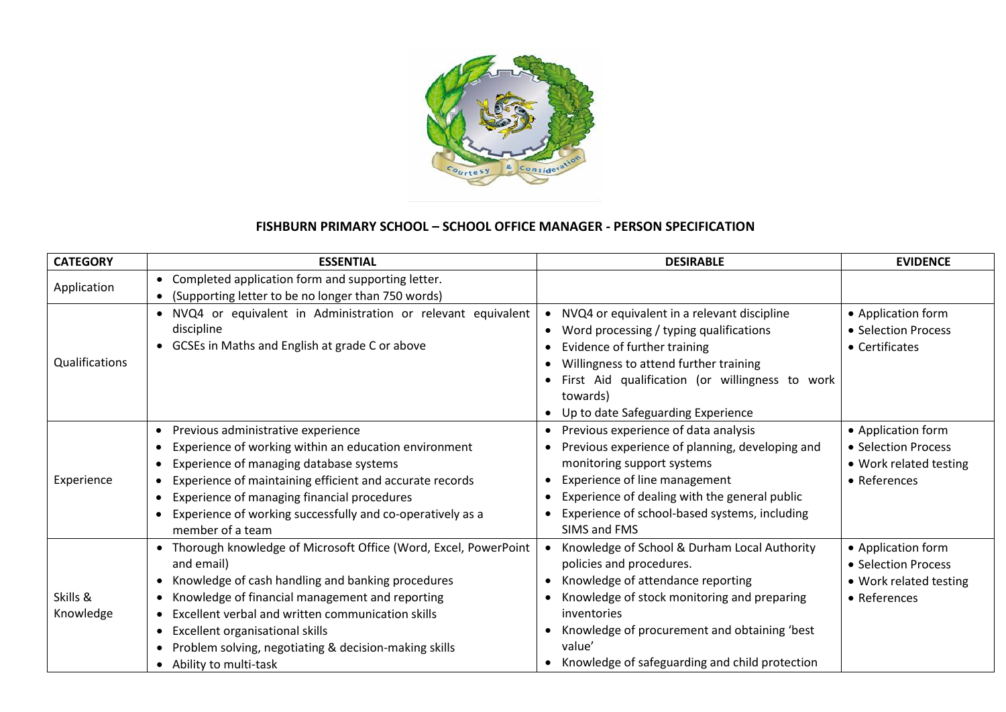

## **FISHBURN PRIMARY SCHOOL – SCHOOL OFFICE MANAGER - PERSON SPECIFICATION**

| <b>CATEGORY</b>       | <b>ESSENTIAL</b>                                                                                                                                                                                                                                                                                                                                                                                                    | <b>DESIRABLE</b>                                                                                                                                                                                                                                                                        | <b>EVIDENCE</b>                                                                     |
|-----------------------|---------------------------------------------------------------------------------------------------------------------------------------------------------------------------------------------------------------------------------------------------------------------------------------------------------------------------------------------------------------------------------------------------------------------|-----------------------------------------------------------------------------------------------------------------------------------------------------------------------------------------------------------------------------------------------------------------------------------------|-------------------------------------------------------------------------------------|
| Application           | • Completed application form and supporting letter.<br>(Supporting letter to be no longer than 750 words)<br>$\bullet$                                                                                                                                                                                                                                                                                              |                                                                                                                                                                                                                                                                                         |                                                                                     |
| Qualifications        | • NVQ4 or equivalent in Administration or relevant equivalent<br>discipline<br>• GCSEs in Maths and English at grade C or above                                                                                                                                                                                                                                                                                     | NVQ4 or equivalent in a relevant discipline<br>Word processing / typing qualifications<br>Evidence of further training<br>Willingness to attend further training<br>First Aid qualification (or willingness to work<br>towards)<br>Up to date Safeguarding Experience                   | • Application form<br>• Selection Process<br>• Certificates                         |
| Experience            | Previous administrative experience<br>$\bullet$<br>Experience of working within an education environment<br>Experience of managing database systems<br>$\bullet$<br>Experience of maintaining efficient and accurate records<br>$\bullet$<br>Experience of managing financial procedures<br>Experience of working successfully and co-operatively as a<br>member of a team                                          | Previous experience of data analysis<br>$\bullet$<br>Previous experience of planning, developing and<br>monitoring support systems<br>Experience of line management<br>Experience of dealing with the general public<br>Experience of school-based systems, including<br>SIMS and FMS   | • Application form<br>• Selection Process<br>• Work related testing<br>• References |
| Skills &<br>Knowledge | Thorough knowledge of Microsoft Office (Word, Excel, PowerPoint<br>and email)<br>Knowledge of cash handling and banking procedures<br>$\bullet$<br>Knowledge of financial management and reporting<br>Excellent verbal and written communication skills<br>$\bullet$<br>Excellent organisational skills<br>$\bullet$<br>Problem solving, negotiating & decision-making skills<br>Ability to multi-task<br>$\bullet$ | Knowledge of School & Durham Local Authority<br>policies and procedures.<br>Knowledge of attendance reporting<br>Knowledge of stock monitoring and preparing<br>inventories<br>Knowledge of procurement and obtaining 'best<br>value'<br>Knowledge of safeguarding and child protection | • Application form<br>• Selection Process<br>• Work related testing<br>• References |